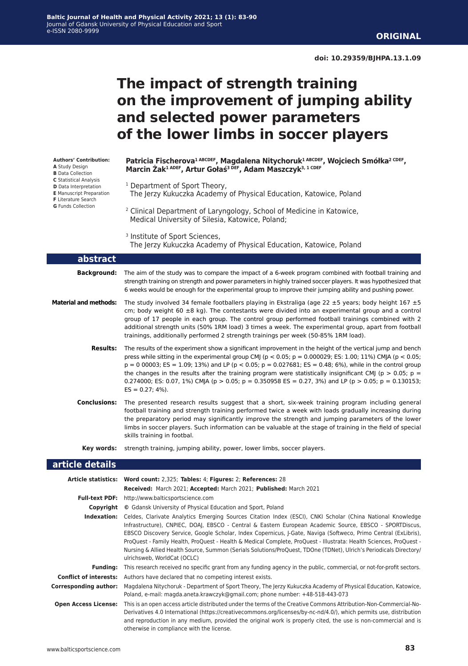# **The impact of strength training on the improvement of jumping ability and selected power parameters of the lower limbs in soccer players**

**Authors' Contribution:**

- **A** Study Design
- **B** Data Collection
- **C** Statistical Analysis
- **D** Data Interpretation
- **E** Manuscript Preparation **F** Literature Search
- **G** Funds Collection

**Patricia Fischerova1 ABCDEF, Magdalena Nitychoruk1 ABCDEF, Wojciech Smółka2 CDEF, Marcin Żak1 ADEF, Artur Gołaś3 DEF, Adam Maszczyk3, 1 CDEF**

- <sup>1</sup> Department of Sport Theory,
- The Jerzy Kukuczka Academy of Physical Education, Katowice, Poland
- 2 Clinical Department of Laryngology, School of Medicine in Katowice, Medical University of Silesia, Katowice, Poland;

The Jerzy Kukuczka Academy of Physical Education, Katowice, Poland

| abstract                     |                                                                                                                                                                                                                                                                                                                                                                                                                                                                                                                                                                                                                     |
|------------------------------|---------------------------------------------------------------------------------------------------------------------------------------------------------------------------------------------------------------------------------------------------------------------------------------------------------------------------------------------------------------------------------------------------------------------------------------------------------------------------------------------------------------------------------------------------------------------------------------------------------------------|
| <b>Background:</b>           | The aim of the study was to compare the impact of a 6-week program combined with football training and<br>strength training on strength and power parameters in highly trained soccer players. It was hypothesized that<br>6 weeks would be enough for the experimental group to improve their jumping ability and pushing power.                                                                                                                                                                                                                                                                                   |
| <b>Material and methods:</b> | The study involved 34 female footballers playing in Ekstraliga (age 22 $\pm$ 5 years; body height 167 $\pm$ 5<br>cm; body weight 60 $\pm$ 8 kg). The contestants were divided into an experimental group and a control<br>group of 17 people in each group. The control group performed football trainings combined with 2<br>additional strength units (50% 1RM load) 3 times a week. The experimental group, apart from football<br>trainings, additionally performed 2 strength trainings per week (50-85% 1RM load).                                                                                            |
| <b>Results:</b>              | The results of the experiment show a significant improvement in the height of the vertical jump and bench<br>press while sitting in the experimental group CMJ ( $p < 0.05$ ; $p = 0.000029$ ; ES: 1.00; 11%) CMJA ( $p < 0.05$ ;<br>$p = 0.00003$ ; ES = 1.09; 13%) and LP ( $p < 0.05$ ; $p = 0.027681$ ; ES = 0.48; 6%), while in the control group<br>the changes in the results after the training program were statistically insignificant CMI ( $p > 0.05$ ; $p =$<br>0.274000; ES: 0.07, 1%) CMIA ( $p > 0.05$ ; $p = 0.350958$ ES = 0.27, 3%) and LP ( $p > 0.05$ ; $p = 0.130153$ ;<br>$ES = 0.27; 4\%).$ |
| <b>Conclusions:</b>          | The presented research results suggest that a short, six-week training program including general<br>football training and strength training performed twice a week with loads gradually increasing during<br>the preparatory period may significantly improve the strength and jumping parameters of the lower<br>limbs in soccer players. Such information can be valuable at the stage of training in the field of special<br>skills training in footbal.                                                                                                                                                         |
| Key words:                   | strength training, jumping ability, power, lower limbs, soccer players.                                                                                                                                                                                                                                                                                                                                                                                                                                                                                                                                             |
| article details              |                                                                                                                                                                                                                                                                                                                                                                                                                                                                                                                                                                                                                     |
|                              | Article statistics: Word count: 2,325; Tables: 4; Figures: 2; References: 28                                                                                                                                                                                                                                                                                                                                                                                                                                                                                                                                        |
|                              | Received: March 2021; Accepted: March 2021; Published: March 2021<br>Full-text PDF: http://www.balticsportscience.com                                                                                                                                                                                                                                                                                                                                                                                                                                                                                               |

|                               | <b>I GIL COAC I DI L</b> etter the party in the model of the control control of the control of the control of the control of the control of the control of the control of the control of the control of the control of the control o                                                                                                                                                                                                                                                                                                                                                                               |
|-------------------------------|--------------------------------------------------------------------------------------------------------------------------------------------------------------------------------------------------------------------------------------------------------------------------------------------------------------------------------------------------------------------------------------------------------------------------------------------------------------------------------------------------------------------------------------------------------------------------------------------------------------------|
| Copyright                     | © Gdansk University of Physical Education and Sport, Poland                                                                                                                                                                                                                                                                                                                                                                                                                                                                                                                                                        |
| Indexation:                   | Celdes, Clarivate Analytics Emerging Sources Citation Index (ESCI), CNKI Scholar (China National Knowledge<br>Infrastructure), CNPIEC, DOAI, EBSCO - Central & Eastern European Academic Source, EBSCO - SPORTDiscus,<br>EBSCO Discovery Service, Google Scholar, Index Copernicus, J-Gate, Naviga (Softweco, Primo Central (ExLibris),<br>ProQuest - Family Health, ProQuest - Health & Medical Complete, ProQuest - Illustrata: Health Sciences, ProQuest -<br>Nursing & Allied Health Source, Summon (Serials Solutions/ProQuest, TDOne (TDNet), Ulrich's Periodicals Directory/<br>ulrichsweb, WorldCat (OCLC) |
| Fundina:                      | This research received no specific grant from any funding agency in the public, commercial, or not-for-profit sectors.                                                                                                                                                                                                                                                                                                                                                                                                                                                                                             |
| <b>Conflict of interests:</b> | Authors have declared that no competing interest exists.                                                                                                                                                                                                                                                                                                                                                                                                                                                                                                                                                           |
| Corresponding author:         | Magdalena Nitychoruk - Department of Sport Theory, The Jerzy Kukuczka Academy of Physical Education, Katowice,<br>Poland, e-mail: magda.aneta.krawczyk@gmail.com; phone number: +48-518-443-073                                                                                                                                                                                                                                                                                                                                                                                                                    |
| <b>Open Access License:</b>   | This is an open access article distributed under the terms of the Creative Commons Attribution-Non-Commercial-No-<br>Derivatives 4.0 International (https://creativecommons.org/licenses/by-nc-nd/4.0/), which permits use, distribution<br>and reproduction in any medium, provided the original work is properly cited, the use is non-commercial and is<br>otherwise in compliance with the license.                                                                                                                                                                                                            |

<sup>&</sup>lt;sup>3</sup> Institute of Sport Sciences,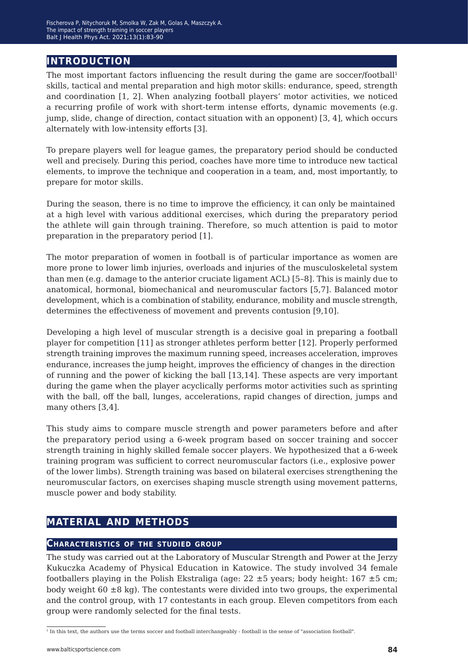# **introduction**

The most important factors influencing the result during the game are soccer/football<sup>1</sup> skills, tactical and mental preparation and high motor skills: endurance, speed, strength and coordination [1, 2]. When analyzing football players' motor activities, we noticed a recurring profile of work with short-term intense efforts, dynamic movements (e.g. jump, slide, change of direction, contact situation with an opponent) [3, 4], which occurs alternately with low-intensity efforts [3].

To prepare players well for league games, the preparatory period should be conducted well and precisely. During this period, coaches have more time to introduce new tactical elements, to improve the technique and cooperation in a team, and, most importantly, to prepare for motor skills.

During the season, there is no time to improve the efficiency, it can only be maintained at a high level with various additional exercises, which during the preparatory period the athlete will gain through training. Therefore, so much attention is paid to motor preparation in the preparatory period [1].

The motor preparation of women in football is of particular importance as women are more prone to lower limb injuries, overloads and injuries of the musculoskeletal system than men (e.g. damage to the anterior cruciate ligament ACL) [5–8]. This is mainly due to anatomical, hormonal, biomechanical and neuromuscular factors [5,7]. Balanced motor development, which is a combination of stability, endurance, mobility and muscle strength, determines the effectiveness of movement and prevents contusion [9,10].

Developing a high level of muscular strength is a decisive goal in preparing a football player for competition [11] as stronger athletes perform better [12]. Properly performed strength training improves the maximum running speed, increases acceleration, improves endurance, increases the jump height, improves the efficiency of changes in the direction of running and the power of kicking the ball [13,14]. These aspects are very important during the game when the player acyclically performs motor activities such as sprinting with the ball, off the ball, lunges, accelerations, rapid changes of direction, jumps and many others [3,4].

This study aims to compare muscle strength and power parameters before and after the preparatory period using a 6-week program based on soccer training and soccer strength training in highly skilled female soccer players. We hypothesized that a 6-week training program was sufficient to correct neuromuscular factors (i.e., explosive power of the lower limbs). Strength training was based on bilateral exercises strengthening the neuromuscular factors, on exercises shaping muscle strength using movement patterns, muscle power and body stability.

# **material and methods**

### **Characteristics of the studied group**

The study was carried out at the Laboratory of Muscular Strength and Power at the Jerzy Kukuczka Academy of Physical Education in Katowice. The study involved 34 female footballers playing in the Polish Ekstraliga (age:  $22 \pm 5$  years; body height:  $167 \pm 5$  cm; body weight  $60 \pm 8$  kg). The contestants were divided into two groups, the experimental and the control group, with 17 contestants in each group. Eleven competitors from each group were randomly selected for the final tests.

<sup>1</sup> In this text, the authors use the terms soccer and football interchangeably - football in the sense of "association football".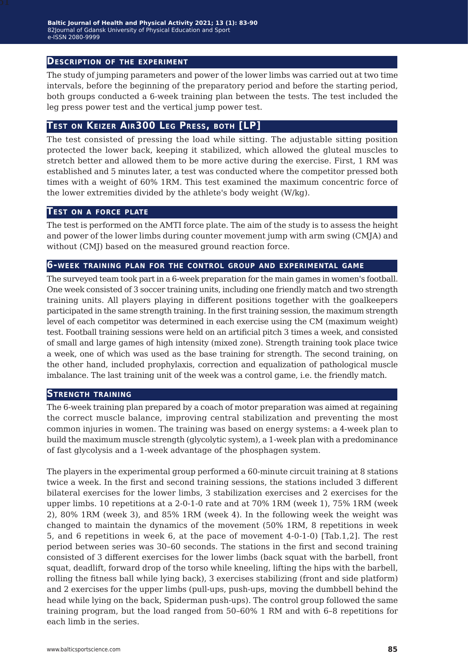### **Description of the experiment**

The study of jumping parameters and power of the lower limbs was carried out at two time intervals, before the beginning of the preparatory period and before the starting period, both groups conducted a 6-week training plan between the tests. The test included the leg press power test and the vertical jump power test.

# **Test on Keizer Air300 Leg Press, both [LP]**

The test consisted of pressing the load while sitting. The adjustable sitting position protected the lower back, keeping it stabilized, which allowed the gluteal muscles to stretch better and allowed them to be more active during the exercise. First, 1 RM was established and 5 minutes later, a test was conducted where the competitor pressed both times with a weight of 60% 1RM. This test examined the maximum concentric force of the lower extremities divided by the athlete's body weight (W/kg).

### **Test on <sup>a</sup> force plate**

The test is performed on the AMTI force plate. The aim of the study is to assess the height and power of the lower limbs during counter movement jump with arm swing (CMJA) and without (CMJ) based on the measured ground reaction force.

### **6-week training plan for the control group and experimental game**

The surveyed team took part in a 6-week preparation for the main games in women's football. One week consisted of 3 soccer training units, including one friendly match and two strength training units. All players playing in different positions together with the goalkeepers participated in the same strength training. In the first training session, the maximum strength level of each competitor was determined in each exercise using the CM (maximum weight) test. Football training sessions were held on an artificial pitch 3 times a week, and consisted of small and large games of high intensity (mixed zone). Strength training took place twice a week, one of which was used as the base training for strength. The second training, on the other hand, included prophylaxis, correction and equalization of pathological muscle imbalance. The last training unit of the week was a control game, i.e. the friendly match.

### **Strength training**

The 6-week training plan prepared by a coach of motor preparation was aimed at regaining the correct muscle balance, improving central stabilization and preventing the most common injuries in women. The training was based on energy systems: a 4-week plan to build the maximum muscle strength (glycolytic system), a 1-week plan with a predominance of fast glycolysis and a 1-week advantage of the phosphagen system.

The players in the experimental group performed a 60-minute circuit training at 8 stations twice a week. In the first and second training sessions, the stations included 3 different bilateral exercises for the lower limbs, 3 stabilization exercises and 2 exercises for the upper limbs. 10 repetitions at a 2-0-1-0 rate and at 70% 1RM (week 1), 75% 1RM (week 2), 80% 1RM (week 3), and 85% 1RM (week 4). In the following week the weight was changed to maintain the dynamics of the movement (50% 1RM, 8 repetitions in week 5, and 6 repetitions in week 6, at the pace of movement 4-0-1-0) [Tab.1,2]. The rest period between series was 30–60 seconds. The stations in the first and second training consisted of 3 different exercises for the lower limbs (back squat with the barbell, front squat, deadlift, forward drop of the torso while kneeling, lifting the hips with the barbell, rolling the fitness ball while lying back), 3 exercises stabilizing (front and side platform) and 2 exercises for the upper limbs (pull-ups, push-ups, moving the dumbbell behind the head while lying on the back, Spiderman push-ups). The control group followed the same training program, but the load ranged from 50–60% 1 RM and with 6–8 repetitions for each limb in the series.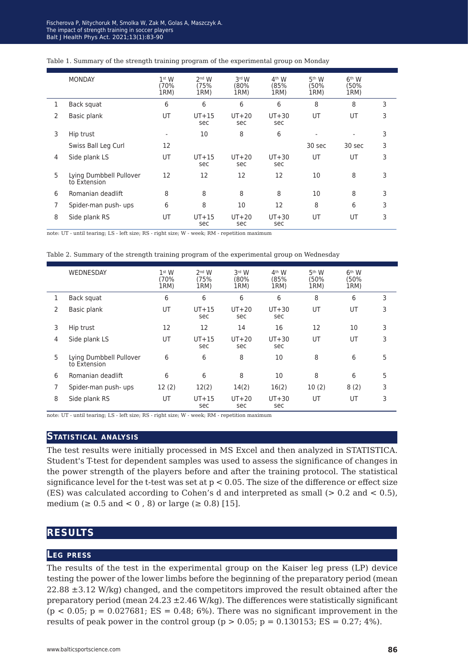|                | <b>MONDAY</b>                           | 1 <sup>st</sup> W<br>(70%<br>1RM) | 2 <sup>nd</sup> W<br>(75%<br>1RM) | 3rd W<br>80%<br>1RM) | 4 <sup>th</sup> W<br>(85%<br>1RM) | 5 <sup>th</sup> W<br>(50%<br>1RM) | 6 <sup>th</sup> W<br>(50%<br>1RM) |   |
|----------------|-----------------------------------------|-----------------------------------|-----------------------------------|----------------------|-----------------------------------|-----------------------------------|-----------------------------------|---|
| 1              | Back squat                              | 6                                 | 6                                 | 6                    | 6                                 | 8                                 | 8                                 | 3 |
| 2              | Basic plank                             | UT                                | $UT+15$<br>sec                    | $UT+20$<br>sec       | $UT+30$<br>sec                    | UT                                | UT                                | 3 |
| 3              | Hip trust                               | ٠                                 | 10                                | 8                    | 6                                 |                                   | ٠                                 | 3 |
|                | Swiss Ball Leg Curl                     | 12                                |                                   |                      |                                   | 30 sec                            | 30 sec                            | 3 |
| 4              | Side plank LS                           | UT                                | $UT+15$<br>sec                    | $UT+20$<br>sec       | $UT+30$<br>sec                    | UT                                | UT                                | 3 |
| 5              | Lying Dumbbell Pullover<br>to Extension | 12                                | 12                                | 12                   | 12                                | 10                                | 8                                 | 3 |
| 6              | Romanian deadlift                       | 8                                 | 8                                 | 8                    | 8                                 | 10                                | 8                                 | 3 |
| $\overline{7}$ | Spider-man push- ups                    | 6                                 | 8                                 | 10                   | 12                                | 8                                 | 6                                 | 3 |
| 8              | Side plank RS                           | UT                                | $UT+15$<br>sec                    | $UT+20$<br>sec       | $UT+30$<br>sec                    | UT                                | UT                                | 3 |

#### Table 1. Summary of the strength training program of the experimental group on Monday

note: UT - until tearing; LS - left size; RS - right size; W - week; RM - repetition maximum

Table 2. Summary of the strength training program of the experimental group on Wednesday

|   | WEDNESDAY                               | 1 <sup>st</sup> W<br>(70%<br>1RM) | $2nd$ W<br>(75%<br>1RM) | 3rd W<br>(80%<br>1RM) | 4 <sup>th</sup> W<br>(85%<br>1RM) | 5 <sup>th</sup> W<br>(50%<br>1RM) | 6 <sup>th</sup> W<br>(50%<br>1RM) |   |
|---|-----------------------------------------|-----------------------------------|-------------------------|-----------------------|-----------------------------------|-----------------------------------|-----------------------------------|---|
|   | Back squat                              | 6                                 | 6                       | 6                     | 6                                 | 8                                 | 6                                 | 3 |
| 2 | Basic plank                             | UT                                | $UT+15$<br>sec          | $UT+20$<br>sec        | $UT+30$<br>sec                    | UT                                | UT                                | 3 |
| 3 | Hip trust                               | 12                                | 12                      | 14                    | 16                                | 12                                | 10                                | 3 |
| 4 | Side plank LS                           | UT                                | $UT+15$<br>sec          | $UT+20$<br>sec        | $UT+30$<br>sec                    | UT                                | UT                                | 3 |
| 5 | Lying Dumbbell Pullover<br>to Extension | 6                                 | 6                       | 8                     | 10                                | 8                                 | 6                                 | 5 |
| 6 | Romanian deadlift                       | 6                                 | 6                       | 8                     | 10                                | 8                                 | 6                                 | 5 |
| 7 | Spider-man push- ups                    | 12(2)                             | 12(2)                   | 14(2)                 | 16(2)                             | 10(2)                             | 8(2)                              | 3 |
| 8 | Side plank RS                           | UT                                | $UT+15$<br>sec          | $UT+20$<br>sec        | $UT+30$<br>sec                    | UT                                | UT                                | 3 |

note: UT - until tearing; LS - left size; RS - right size; W - week; RM - repetition maximum

### **Statistical analysis**

The test results were initially processed in MS Excel and then analyzed in STATISTICA. Student's T-test for dependent samples was used to assess the significance of changes in the power strength of the players before and after the training protocol. The statistical significance level for the t-test was set at  $p < 0.05$ . The size of the difference or effect size (ES) was calculated according to Cohen's d and interpreted as small  $(> 0.2$  and  $< 0.5)$ , medium (≥ 0.5 and < 0, 8) or large (≥ 0.8) [15].

# **results**

### **Leg press**

The results of the test in the experimental group on the Kaiser leg press (LP) device testing the power of the lower limbs before the beginning of the preparatory period (mean 22.88 ±3.12 W/kg) changed, and the competitors improved the result obtained after the preparatory period (mean  $24.23 \pm 2.46$  W/kg). The differences were statistically significant  $(p < 0.05; p = 0.027681; ES = 0.48; 6\%).$  There was no significant improvement in the results of peak power in the control group ( $p > 0.05$ ;  $p = 0.130153$ ; ES = 0.27; 4%).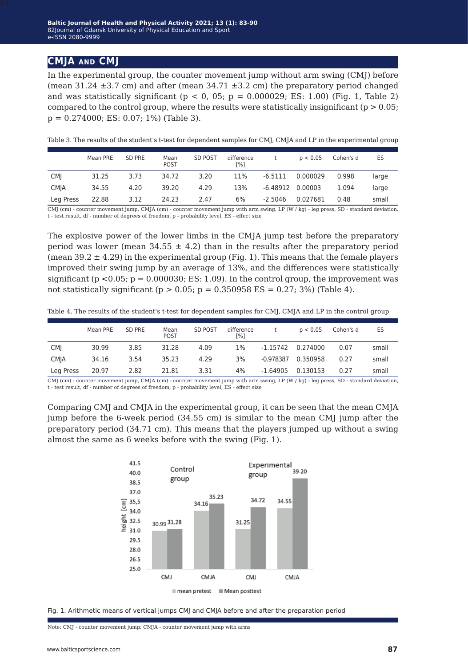### **CMJA and CMJ**

In the experimental group, the counter movement jump without arm swing (CMJ) before (mean  $31.24 \pm 3.7$  cm) and after (mean  $34.71 \pm 3.2$  cm) the preparatory period changed and was statistically significant ( $p < 0$ , 05;  $p = 0.000029$ ; ES: 1.00) (Fig. 1, Table 2) compared to the control group, where the results were statistically insignificant ( $p > 0.05$ ;  $p = 0.274000$ ; ES: 0.07; 1%) (Table 3).

Table 3. The results of the student's t-test for dependent samples for CMJ, CMJA and LP in the experimental group

|             | Mean PRE | SD PRE | Mean<br><b>POST</b> | <b>SD POST</b> | difference<br>[%] |            | p < 0.05 | Cohen's d | ES    |
|-------------|----------|--------|---------------------|----------------|-------------------|------------|----------|-----------|-------|
| <b>CMI</b>  | 31.25    | 3.73   | 34.72               | 3.20           | 11%               | $-6.5111$  | 0.000029 | 0.998     | large |
| <b>CMJA</b> | 34.55    | 4.20   | 39.20               | 4.29           | 13%               | $-6.48912$ | 0.00003  | 1.094     | large |
| Leg Press   | 22.88    | 3.12   | 24.23               | 2.47           | 6%                | $-2.5046$  | 0.027681 | 0.48      | small |

CMJ (cm) - counter movement jump, CMJA (cm) - counter movement jump with arm swing, LP (W / kg) - leg press, SD - standard deviation, t - test result, df - number of degrees of freedom, p - probability level, ES - effect size

The explosive power of the lower limbs in the CMJA jump test before the preparatory period was lower (mean  $34.55 \pm 4.2$ ) than in the results after the preparatory period (mean  $39.2 \pm 4.29$ ) in the experimental group (Fig. 1). This means that the female players improved their swing jump by an average of 13%, and the differences were statistically significant ( $p < 0.05$ ;  $p = 0.000030$ ; ES: 1.09). In the control group, the improvement was not statistically significant ( $p > 0.05$ ;  $p = 0.350958$  ES = 0.27; 3%) (Table 4).

Table 4. The results of the student's t-test for dependent samples for CMJ, CMJA and LP in the control group

|             | Mean PRE | SD PRE | Mean<br>POST | SD POST | difference<br>[%] |             | p < 0.05 | Cohen's d | ES    |
|-------------|----------|--------|--------------|---------|-------------------|-------------|----------|-----------|-------|
| <b>CMI</b>  | 30.99    | 3.85   | 31.28        | 4.09    | 1%                | -1.15742    | 0.274000 | 0.07      | small |
| <b>CMIA</b> | 34.16    | 3.54   | 35.23        | 4.29    | 3%                | $-0.978387$ | 0.350958 | 0.27      | small |
| Leg Press   | 20.97    | 2.82   | 21.81        | 3.31    | 4%                | $-1.64905$  | 0.130153 | 0.27      | small |

CMJ (cm) - counter movement jump, CMJA (cm) - counter movement jump with arm swing, LP (W / kg) - leg press, SD - standard deviation, t - test result, df - number of degrees of freedom, p - probability level, ES - effect size

Comparing CMJ and CMJA in the experimental group, it can be seen that the mean CMJA jump before the 6-week period (34.55 cm) is similar to the mean CMJ jump after the preparatory period (34.71 cm). This means that the players jumped up without a swing almost the same as 6 weeks before with the swing (Fig. 1).





Note: CMJ - counter movement jump; CMJA - counter movement jump with arms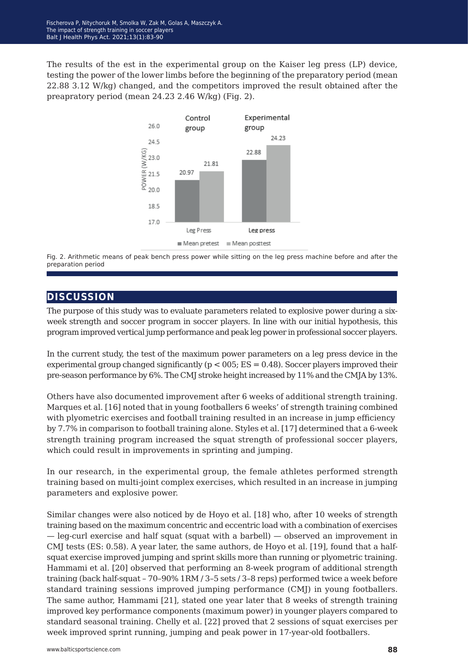The results of the est in the experimental group on the Kaiser leg press (LP) device, testing the power of the lower limbs before the beginning of the preparatory period (mean 22.88 3.12 W/kg) changed, and the competitors improved the result obtained after the preapratory period (mean 24.23 2.46 W/kg) (Fig. 2).



Fig. 2. Arithmetic means of peak bench press power while sitting on the leg press machine before and after the preparation period

# **discussion**

The purpose of this study was to evaluate parameters related to explosive power during a sixweek strength and soccer program in soccer players. In line with our initial hypothesis, this program improved vertical jump performance and peak leg power in professional soccer players.

In the current study, the test of the maximum power parameters on a leg press device in the experimental group changed significantly ( $p < 005$ ; ES = 0.48). Soccer players improved their pre-season performance by 6%. The CMJ stroke height increased by 11% and the CMJA by 13%.

Others have also documented improvement after 6 weeks of additional strength training. Marques et al. [16] noted that in young footballers 6 weeks' of strength training combined with plyometric exercises and football training resulted in an increase in jump efficiency by 7.7% in comparison to football training alone. Styles et al. [17] determined that a 6-week strength training program increased the squat strength of professional soccer players, which could result in improvements in sprinting and jumping.

In our research, in the experimental group, the female athletes performed strength training based on multi-joint complex exercises, which resulted in an increase in jumping parameters and explosive power.

Similar changes were also noticed by de Hoyo et al. [18] who, after 10 weeks of strength training based on the maximum concentric and eccentric load with a combination of exercises — leg-curl exercise and half squat (squat with a barbell) — observed an improvement in CMJ tests (ES: 0.58). A year later, the same authors, de Hoyo et al. [19], found that a halfsquat exercise improved jumping and sprint skills more than running or plyometric training. Hammami et al. [20] observed that performing an 8-week program of additional strength training (back half-squat – 70–90% 1RM / 3–5 sets / 3–8 reps) performed twice a week before standard training sessions improved jumping performance (CMJ) in young footballers. The same author, Hammami [21], stated one year later that 8 weeks of strength training improved key performance components (maximum power) in younger players compared to standard seasonal training. Chelly et al. [22] proved that 2 sessions of squat exercises per week improved sprint running, jumping and peak power in 17-year-old footballers.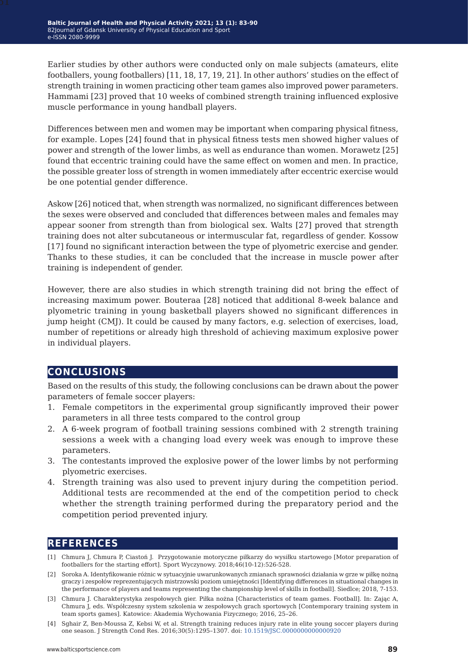Earlier studies by other authors were conducted only on male subjects (amateurs, elite footballers, young footballers) [11, 18, 17, 19, 21]. In other authors' studies on the effect of strength training in women practicing other team games also improved power parameters. Hammami [23] proved that 10 weeks of combined strength training influenced explosive muscle performance in young handball players.

Differences between men and women may be important when comparing physical fitness, for example. Lopes [24] found that in physical fitness tests men showed higher values of power and strength of the lower limbs, as well as endurance than women. Morawetz [25] found that eccentric training could have the same effect on women and men. In practice, the possible greater loss of strength in women immediately after eccentric exercise would be one potential gender difference.

Askow [26] noticed that, when strength was normalized, no significant differences between the sexes were observed and concluded that differences between males and females may appear sooner from strength than from biological sex. Walts [27] proved that strength training does not alter subcutaneous or intermuscular fat, regardless of gender. Kossow [17] found no significant interaction between the type of plyometric exercise and gender. Thanks to these studies, it can be concluded that the increase in muscle power after training is independent of gender.

However, there are also studies in which strength training did not bring the effect of increasing maximum power. Bouteraa [28] noticed that additional 8-week balance and plyometric training in young basketball players showed no significant differences in jump height (CMJ). It could be caused by many factors, e.g. selection of exercises, load, number of repetitions or already high threshold of achieving maximum explosive power in individual players.

# **conclusions**

Based on the results of this study, the following conclusions can be drawn about the power parameters of female soccer players:

- 1. Female competitors in the experimental group significantly improved their power parameters in all three tests compared to the control group
- 2. A 6-week program of football training sessions combined with 2 strength training sessions a week with a changing load every week was enough to improve these parameters.
- 3. The contestants improved the explosive power of the lower limbs by not performing plyometric exercises.
- 4. Strength training was also used to prevent injury during the competition period. Additional tests are recommended at the end of the competition period to check whether the strength training performed during the preparatory period and the competition period prevented injury.

# **references**

- [1] Chmura J, Chmura P, Ciastoń J. Przygotowanie motoryczne piłkarzy do wysiłku startowego [Motor preparation of footballers for the starting effort]. Sport Wyczynowy. 2018;46(10-12):526-528.
- [2] Soroka A. Identyfikowanie różnic w sytuacyjnie uwarunkowanych zmianach sprawności działania w grze w piłkę nożną graczy i zespołów reprezentujących mistrzowski poziom umiejętności [Identifying differences in situational changes in the performance of players and teams representing the championship level of skills in football]. Siedlce; 2018, 7-153.
- [3] Chmura J. Charakterystyka zespołowych gier. Piłka nożna [Characteristics of team games. Football]. In: Zając A, Chmura J, eds. Współczesny system szkolenia w zespołowych grach sportowych [Contemporary training system in team sports games]. Katowice: Akademia Wychowania Fizycznego; 2016, 25–26.
- [4] Sghair Z, Ben-Moussa Z, Kebsi W, et al. Strength training reduces injury rate in elite young soccer players during one season. J Strength Cond Res. 2016;30(5):1295–1307. doi: [10.1519/JSC.0000000000000920](https://doi.org/10.1519/JSC.0000000000000920)